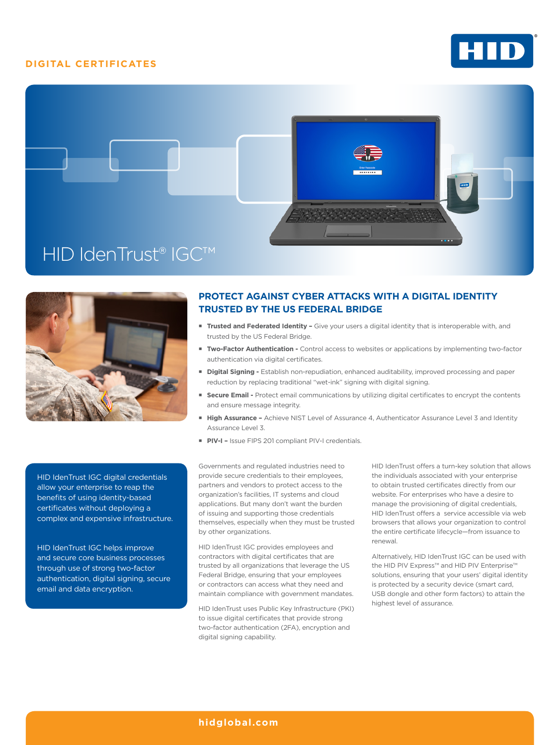### **DIGITAL CERTIFICATES**







HID IdenTrust IGC digital credentials allow your enterprise to reap the benefits of using identity-based certificates without deploying a complex and expensive infrastructure.

HID IdenTrust IGC helps improve and secure core business processes through use of strong two-factor authentication, digital signing, secure email and data encryption.

# **PROTECT AGAINST CYBER ATTACKS WITH A DIGITAL IDENTITY TRUSTED BY THE US FEDERAL BRIDGE**

- **Trusted and Federated Identity -** Give your users a digital identity that is interoperable with, and trusted by the US Federal Bridge.
- **Two-Factor Authentication -** Control access to websites or applications by implementing two-factor authentication via digital certificates.
- **Digital Signing -** Establish non-repudiation, enhanced auditability, improved processing and paper reduction by replacing traditional "wet-ink" signing with digital signing.
- **Secure Email -** Protect email communications by utilizing digital certificates to encrypt the contents and ensure message integrity.
- **High Assurance** Achieve NIST Level of Assurance 4, Authenticator Assurance Level 3 and Identity Assurance Level 3.
- **PIV-I Issue FIPS 201 compliant PIV-I credentials.**

Governments and regulated industries need to provide secure credentials to their employees, partners and vendors to protect access to the organization's facilities, IT systems and cloud applications. But many don't want the burden of issuing and supporting those credentials themselves, especially when they must be trusted by other organizations.

HID IdenTrust IGC provides employees and contractors with digital certificates that are trusted by all organizations that leverage the US Federal Bridge, ensuring that your employees or contractors can access what they need and maintain compliance with government mandates.

HID IdenTrust uses Public Key Infrastructure (PKI) to issue digital certificates that provide strong two-factor authentication (2FA), encryption and digital signing capability.

HID IdenTrust offers a turn-key solution that allows the individuals associated with your enterprise to obtain trusted certificates directly from our website. For enterprises who have a desire to manage the provisioning of digital credentials, HID IdenTrust offers a service accessible via web browsers that allows your organization to control the entire certificate lifecycle—from issuance to renewal.

Alternatively, HID IdenTrust IGC can be used with the HID PIV Express™ and HID PIV Enterprise™ solutions, ensuring that your users' digital identity is protected by a security device (smart card, USB dongle and other form factors) to attain the highest level of assurance.

### **hidglobal.com**